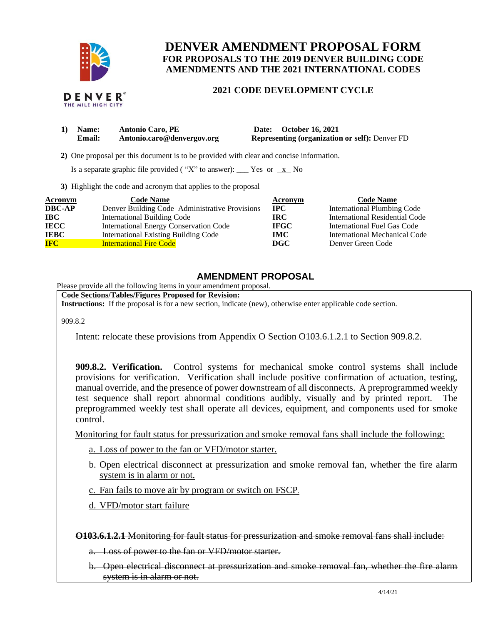

THE MILE HIGH CITY

# **DENVER AMENDMENT PROPOSAL FORM FOR PROPOSALS TO THE 2019 DENVER BUILDING CODE AMENDMENTS AND THE 2021 INTERNATIONAL CODES**

## **2021 CODE DEVELOPMENT CYCLE**

| 1) Name: | <b>Antonio Caro, PE</b>    | Date: October 16, 2021                                |
|----------|----------------------------|-------------------------------------------------------|
| Email:   | Antonio.caro@denvergov.org | <b>Representing (organization or self): Denver FD</b> |

 **2)** One proposal per this document is to be provided with clear and concise information.

Is a separate graphic file provided ("X" to answer): \_\_\_ Yes or  $\mathbf{x}$  No

**3)** Highlight the code and acronym that applies to the proposal

| Acronym       | <b>Code Name</b>                               | Acronym     | <b>Code Name</b>                   |
|---------------|------------------------------------------------|-------------|------------------------------------|
| <b>DBC-AP</b> | Denver Building Code–Administrative Provisions | <b>IPC</b>  | <b>International Plumbing Code</b> |
| <b>IBC</b>    | International Building Code                    | <b>IRC</b>  | International Residential Code     |
| <b>IECC</b>   | International Energy Conservation Code         | <b>IFGC</b> | International Fuel Gas Code        |
| <b>IEBC</b>   | <b>International Existing Building Code</b>    | <b>IMC</b>  | International Mechanical Code      |
| <b>IFC</b>    | <b>International Fire Code</b>                 | DGC         | Denver Green Code                  |

## **AMENDMENT PROPOSAL**

Please provide all the following items in your amendment proposal.

**Code Sections/Tables/Figures Proposed for Revision:**

**Instructions:** If the proposal is for a new section, indicate (new), otherwise enter applicable code section.

909.8.2

Intent: relocate these provisions from Appendix O Section O103.6.1.2.1 to Section 909.8.2.

**909.8.2. Verification.** Control systems for mechanical smoke control systems shall include provisions for verification. Verification shall include positive confirmation of actuation, testing, manual override, and the presence of power downstream of all disconnects. A preprogrammed weekly test sequence shall report abnormal conditions audibly, visually and by printed report. The preprogrammed weekly test shall operate all devices, equipment, and components used for smoke control.

Monitoring for fault status for pressurization and smoke removal fans shall include the following:

- a. Loss of power to the fan or VFD/motor starter.
- b. Open electrical disconnect at pressurization and smoke removal fan, whether the fire alarm system is in alarm or not.
- c. Fan fails to move air by program or switch on FSCP.

d. VFD/motor start failure

**O103.6.1.2.1** Monitoring for fault status for pressurization and smoke removal fans shall include:

- a. Loss of power to the fan or VFD/motor starter.
- b. Open electrical disconnect at pressurization and smoke removal fan, whether the fire alarm system is in alarm or not.